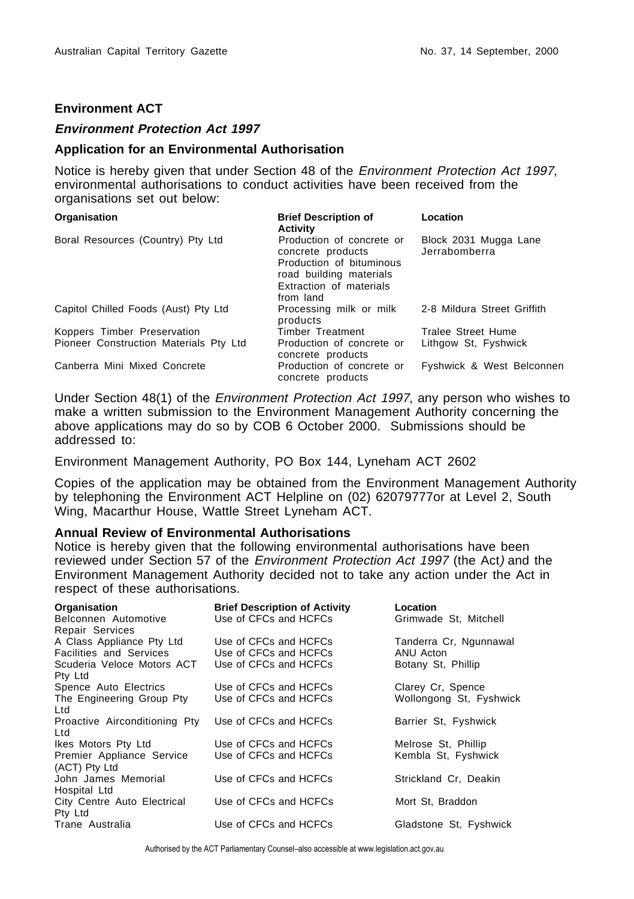## **Environment ACT**

## **Environment Protection Act 1997**

## **Application for an Environmental Authorisation**

Notice is hereby given that under Section 48 of the Environment Protection Act 1997, environmental authorisations to conduct activities have been received from the organisations set out below:

| Organisation                           | <b>Brief Description of</b><br><b>Activity</b>                                                                                                | Location                               |
|----------------------------------------|-----------------------------------------------------------------------------------------------------------------------------------------------|----------------------------------------|
| Boral Resources (Country) Pty Ltd      | Production of concrete or<br>concrete products<br>Production of bituminous<br>road building materials<br>Extraction of materials<br>from land | Block 2031 Mugga Lane<br>Jerrabomberra |
| Capitol Chilled Foods (Aust) Pty Ltd   | Processing milk or milk<br>products                                                                                                           | 2-8 Mildura Street Griffith            |
| Koppers Timber Preservation            | <b>Timber Treatment</b>                                                                                                                       | Tralee Street Hume                     |
| Pioneer Construction Materials Pty Ltd | Production of concrete or<br>concrete products                                                                                                | Lithgow St. Fyshwick                   |
| Canberra Mini Mixed Concrete           | Production of concrete or<br>concrete products                                                                                                | Fyshwick & West Belconnen              |

Under Section 48(1) of the Environment Protection Act 1997, any person who wishes to make a written submission to the Environment Management Authority concerning the above applications may do so by COB 6 October 2000. Submissions should be addressed to:

Environment Management Authority, PO Box 144, Lyneham ACT 2602

Copies of the application may be obtained from the Environment Management Authority by telephoning the Environment ACT Helpline on (02) 62079777or at Level 2, South Wing, Macarthur House, Wattle Street Lyneham ACT.

## **Annual Review of Environmental Authorisations**

Notice is hereby given that the following environmental authorisations have been reviewed under Section 57 of the *Environment Protection Act 1997* (the Act) and the Environment Management Authority decided not to take any action under the Act in respect of these authorisations.

| Organisation<br>Belconnen Automotive<br>Repair Services | <b>Brief Description of Activity</b><br>Use of CFCs and HCFCs | Location<br>Grimwade St, Mitchell |
|---------------------------------------------------------|---------------------------------------------------------------|-----------------------------------|
| A Class Appliance Pty Ltd                               | Use of CFCs and HCFCs                                         | Tanderra Cr, Ngunnawal            |
| <b>Facilities and Services</b>                          | Use of CFCs and HCFCs                                         | ANU Acton                         |
| Scuderia Veloce Motors ACT<br>Pty Ltd                   | Use of CFCs and HCFCs                                         | Botany St. Phillip                |
| Spence Auto Electrics                                   | Use of CFCs and HCFCs                                         | Clarey Cr. Spence                 |
| The Engineering Group Pty<br>Ltd                        | Use of CFCs and HCFCs                                         | Wollongong St. Fyshwick           |
| Proactive Airconditioning Pty<br>Ltd                    | Use of CFCs and HCFCs                                         | Barrier St. Fyshwick              |
| Ikes Motors Pty Ltd                                     | Use of CFCs and HCFCs                                         | Melrose St. Phillip               |
| Premier Appliance Service<br>(ACT) Pty Ltd              | Use of CFCs and HCFCs                                         | Kembla St, Fyshwick               |
| John James Memorial<br>Hospital Ltd                     | Use of CFCs and HCFCs                                         | Strickland Cr. Deakin             |
| City Centre Auto Electrical<br>Pty Ltd                  | Use of CFCs and HCFCs                                         | Mort St, Braddon                  |
| Trane Australia                                         | Use of CFCs and HCFCs                                         | Gladstone St. Fyshwick            |

Authorised by the ACT Parliamentary Counsel–also accessible at www.legislation.act.gov.au